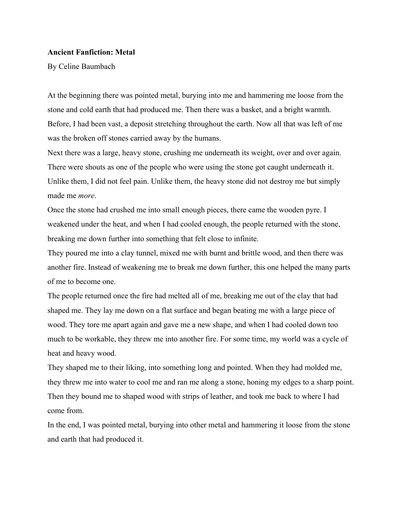# **Ancient Fanfiction: Metal**

By Celine Baumbach

At the beginning there was pointed metal, burying into me and hammering me loose from the stone and cold earth that had produced me. Then there was a basket, and a bright warmth. Before, I had been vast, a deposit stretching throughout the earth. Now all that was left of me was the broken off stones carried away by the humans.

Next there was a large, heavy stone, crushing me underneath its weight, over and over again. There were shouts as one of the people who were using the stone got caught underneath it. Unlike them, I did not feel pain. Unlike them, the heavy stone did not destroy me but simply made me *more*.

Once the stone had crushed me into small enough pieces, there came the wooden pyre. I weakened under the heat, and when I had cooled enough, the people returned with the stone, breaking me down further into something that felt close to infinite.

They poured me into a clay tunnel, mixed me with burnt and brittle wood, and then there was another fire. Instead of weakening me to break me down further, this one helped the many parts of me to become one.

The people returned once the fire had melted all of me, breaking me out of the clay that had shaped me. They lay me down on a flat surface and began beating me with a large piece of wood. They tore me apart again and gave me a new shape, and when I had cooled down too much to be workable, they threw me into another fire. For some time, my world was a cycle of heat and heavy wood.

They shaped me to their liking, into something long and pointed. When they had molded me, they threw me into water to cool me and ran me along a stone, honing my edges to a sharp point. Then they bound me to shaped wood with strips of leather, and took me back to where I had come from.

In the end, I was pointed metal, burying into other metal and hammering it loose from the stone and earth that had produced it.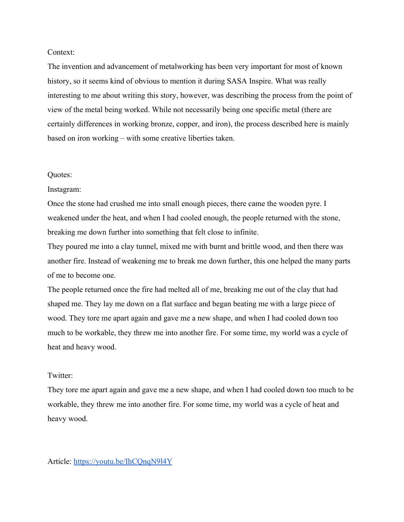# Context:

The invention and advancement of metalworking has been very important for most of known history, so it seems kind of obvious to mention it during SASA Inspire. What was really interesting to me about writing this story, however, was describing the process from the point of view of the metal being worked. While not necessarily being one specific metal (there are certainly differences in working bronze, copper, and iron), the process described here is mainly based on iron working – with some creative liberties taken.

### Quotes:

#### Instagram:

Once the stone had crushed me into small enough pieces, there came the wooden pyre. I weakened under the heat, and when I had cooled enough, the people returned with the stone, breaking me down further into something that felt close to infinite.

They poured me into a clay tunnel, mixed me with burnt and brittle wood, and then there was another fire. Instead of weakening me to break me down further, this one helped the many parts of me to become one.

The people returned once the fire had melted all of me, breaking me out of the clay that had shaped me. They lay me down on a flat surface and began beating me with a large piece of wood. They tore me apart again and gave me a new shape, and when I had cooled down too much to be workable, they threw me into another fire. For some time, my world was a cycle of heat and heavy wood.

# Twitter:

They tore me apart again and gave me a new shape, and when I had cooled down too much to be workable, they threw me into another fire. For some time, my world was a cycle of heat and heavy wood.

### Article: <https://youtu.be/IhCQnqN9l4Y>